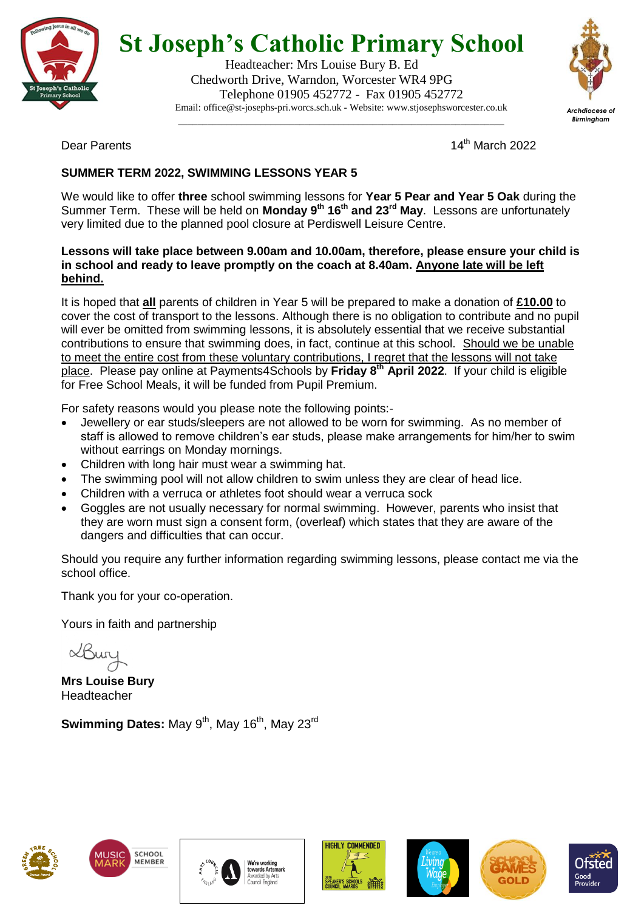

## **St Joseph's Catholic Primary School**

Headteacher: Mrs Louise Bury B. Ed Chedworth Drive, Warndon, Worcester WR4 9PG Telephone 01905 452772 - Fax 01905 452772 Email: office@st-josephs-pri.worcs.sch.uk - Website: www.stjosephsworcester.co.uk

\_\_\_\_\_\_\_\_\_\_\_\_\_\_\_\_\_\_\_\_\_\_\_\_\_\_\_\_\_\_\_\_\_\_\_\_\_\_\_\_\_\_\_\_\_\_\_\_\_\_\_\_\_\_\_\_\_\_\_\_\_\_\_\_\_\_\_



Dear Parents

 $14<sup>th</sup>$  March 2022

### **SUMMER TERM 2022, SWIMMING LESSONS YEAR 5**

We would like to offer **three** school swimming lessons for **Year 5 Pear and Year 5 Oak** during the Summer Term. These will be held on **Monday 9 th 16th and 23rd May**. Lessons are unfortunately very limited due to the planned pool closure at Perdiswell Leisure Centre.

#### **Lessons will take place between 9.00am and 10.00am, therefore, please ensure your child is in school and ready to leave promptly on the coach at 8.40am. Anyone late will be left behind.**

It is hoped that **all** parents of children in Year 5 will be prepared to make a donation of **£10.00** to cover the cost of transport to the lessons. Although there is no obligation to contribute and no pupil will ever be omitted from swimming lessons, it is absolutely essential that we receive substantial contributions to ensure that swimming does, in fact, continue at this school. Should we be unable to meet the entire cost from these voluntary contributions, I regret that the lessons will not take place. Please pay online at Payments4Schools by **Friday 8th April 2022**. If your child is eligible for Free School Meals, it will be funded from Pupil Premium.

For safety reasons would you please note the following points:-

- Jewellery or ear studs/sleepers are not allowed to be worn for swimming. As no member of staff is allowed to remove children's ear studs, please make arrangements for him/her to swim without earrings on Monday mornings.
- Children with long hair must wear a swimming hat.
- The swimming pool will not allow children to swim unless they are clear of head lice.
- Children with a verruca or athletes foot should wear a verruca sock
- Goggles are not usually necessary for normal swimming. However, parents who insist that they are worn must sign a consent form, (overleaf) which states that they are aware of the dangers and difficulties that can occur.

Should you require any further information regarding swimming lessons, please contact me via the school office.

Thank you for your co-operation.

Yours in faith and partnership

LBur

**Mrs Louise Bury** Headteacher

**Swimming Dates:** May 9<sup>th</sup>, May 16<sup>th</sup>, May 23<sup>rd</sup>